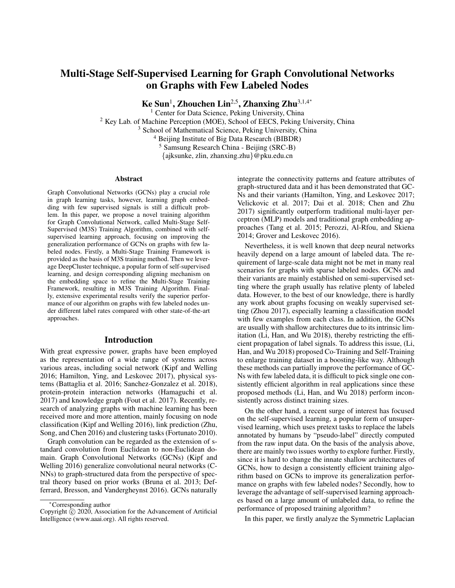# Multi-Stage Self-Supervised Learning for Graph Convolutional Networks on Graphs with Few Labeled Nodes

Ke Sun<sup>1</sup>, Zhouchen Lin<sup>2,5</sup>, Zhanxing Zhu<sup>3,1,4</sup>\*

<sup>1</sup> Center for Data Science, Peking University, China <sup>2</sup> Key Lab. of Machine Perception (MOE), School of EECS, Peking University, China <sup>3</sup> School of Mathematical Science, Peking University, China <sup>4</sup> Beijing Institute of Big Data Research (BIBDR) <sup>5</sup> Samsung Research China - Beijing (SRC-B) {ajksunke, zlin, zhanxing.zhu}@pku.edu.cn

**Abstract** 

Graph Convolutional Networks (GCNs) play a crucial role in graph learning tasks, however, learning graph embedding with few supervised signals is still a difficult problem. In this paper, we propose a novel training algorithm for Graph Convolutional Network, called Multi-Stage Self-Supervised (M3S) Training Algorithm, combined with selfsupervised learning approach, focusing on improving the generalization performance of GCNs on graphs with few labeled nodes. Firstly, a Multi-Stage Training Framework is provided as the basis of M3S training method. Then we leverage DeepCluster technique, a popular form of self-supervised learning, and design corresponding aligning mechanism on the embedding space to refine the Multi-Stage Training Framework, resulting in M3S Training Algorithm. Finally, extensive experimental results verify the superior performance of our algorithm on graphs with few labeled nodes under different label rates compared with other state-of-the-art approaches.

#### Introduction

With great expressive power, graphs have been employed as the representation of a wide range of systems across various areas, including social network (Kipf and Welling 2016; Hamilton, Ying, and Leskovec 2017), physical systems (Battaglia et al. 2016; Sanchez-Gonzalez et al. 2018), protein-protein interaction networks (Hamaguchi et al. 2017) and knowledge graph (Fout et al. 2017). Recently, research of analyzing graphs with machine learning has been received more and more attention, mainly focusing on node classification (Kipf and Welling 2016), link prediction (Zhu, Song, and Chen 2016) and clustering tasks (Fortunato 2010).

Graph convolution can be regarded as the extension of standard convolution from Euclidean to non-Euclidean domain. Graph Convolutional Networks (GCNs) (Kipf and Welling 2016) generalize convolutional neural networks (C-NNs) to graph-structured data from the perspective of spectral theory based on prior works (Bruna et al. 2013; Defferrard, Bresson, and Vandergheynst 2016). GCNs naturally

integrate the connectivity patterns and feature attributes of graph-structured data and it has been demonstrated that GC-Ns and their variants (Hamilton, Ying, and Leskovec 2017; Velickovic et al. 2017; Dai et al. 2018; Chen and Zhu 2017) significantly outperform traditional multi-layer perceptron (MLP) models and traditional graph embedding approaches (Tang et al. 2015; Perozzi, Al-Rfou, and Skiena 2014; Grover and Leskovec 2016).

Nevertheless, it is well known that deep neural networks heavily depend on a large amount of labeled data. The requirement of large-scale data might not be met in many real scenarios for graphs with sparse labeled nodes. GCNs and their variants are mainly established on semi-supervised setting where the graph usually has relative plenty of labeled data. However, to the best of our knowledge, there is hardly any work about graphs focusing on weakly supervised setting (Zhou 2017), especially learning a classification model with few examples from each class. In addition, the GCNs are usually with shallow architectures due to its intrinsic limitation (Li, Han, and Wu 2018), thereby restricting the efficient propagation of label signals. To address this issue, (Li, Han, and Wu 2018) proposed Co-Training and Self-Training to enlarge training dataset in a boosting-like way. Although these methods can partially improve the performance of GC-Ns with few labeled data, it is difficult to pick single one consistently efficient algorithm in real applications since these proposed methods (Li, Han, and Wu 2018) perform inconsistently across distinct training sizes.

On the other hand, a recent surge of interest has focused on the self-supervised learning, a popular form of unsupervised learning, which uses pretext tasks to replace the labels annotated by humans by "pseudo-label" directly computed from the raw input data. On the basis of the analysis above, there are mainly two issues worthy to explore further. Firstly, since it is hard to change the innate shallow architectures of GCNs, how to design a consistently efficient training algorithm based on GCNs to improve its generalization performance on graphs with few labeled nodes? Secondly, how to leverage the advantage of self-supervised learning approaches based on a large amount of unlabeled data, to refine the performance of proposed training algorithm?

In this paper, we firstly analyze the Symmetric Laplacian

<sup>∗</sup>Corresponding author

Copyright  $\hat{C}$  2020, Association for the Advancement of Artificial Intelligence (www.aaai.org). All rights reserved.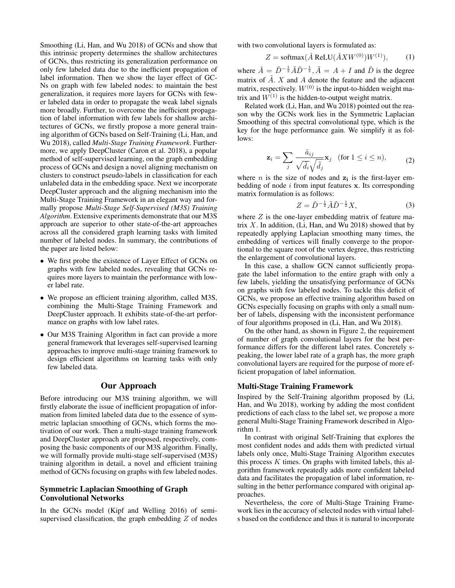Smoothing (Li, Han, and Wu 2018) of GCNs and show that this intrinsic property determines the shallow architectures of GCNs, thus restricting its generalization performance on only few labeled data due to the inefficient propagation of label information. Then we show the layer effect of GC-Ns on graph with few labeled nodes: to maintain the best generalization, it requires more layers for GCNs with fewer labeled data in order to propagate the weak label signals more broadly. Further, to overcome the inefficient propagation of label information with few labels for shallow architectures of GCNs, we firstly propose a more general training algorithm of GCNs based on Self-Training (Li, Han, and Wu 2018), called *Multi-Stage Training Framework*. Furthermore, we apply DeepCluster (Caron et al. 2018), a popular method of self-supervised learning, on the graph embedding process of GCNs and design a novel aligning mechanism on clusters to construct pseudo-labels in classification for each unlabeled data in the embedding space. Next we incorporate DeepCluster approach and the aligning mechanism into the Multi-Stage Training Framework in an elegant way and formally propose *Multi-Stage Self-Supervised (M3S) Training Algorithm*. Extensive experiments demonstrate that our M3S approach are superior to other state-of-the-art approaches across all the considered graph learning tasks with limited number of labeled nodes. In summary, the contributions of the paper are listed below:

- We first probe the existence of Layer Effect of GCNs on graphs with few labeled nodes, revealing that GCNs requires more layers to maintain the performance with lower label rate.
- We propose an efficient training algorithm, called M3S, combining the Multi-Stage Training Framework and DeepCluster approach. It exhibits state-of-the-art performance on graphs with low label rates.
- Our M3S Training Algorithm in fact can provide a more general framework that leverages self-supervised learning approaches to improve multi-stage training framework to design efficient algorithms on learning tasks with only few labeled data.

## Our Approach

Before introducing our M3S training algorithm, we will firstly elaborate the issue of inefficient propagation of information from limited labeled data due to the essence of symmetric laplacian smoothing of GCNs, which forms the motivation of our work. Then a multi-stage training framework and DeepCluster approach are proposed, respectively, composing the basic components of our M3S algorithm. Finally, we will formally provide multi-stage self-supervised (M3S) training algorithm in detail, a novel and efficient training method of GCNs focusing on graphs with few labeled nodes.

# Symmetric Laplacian Smoothing of Graph Convolutional Networks

In the GCNs model (Kipf and Welling 2016) of semisupervised classification, the graph embedding  $Z$  of nodes with two convolutional layers is formulated as:

$$
Z = \text{softmax}(\hat{A} \text{ReLU}(\hat{A}XW^{(0)})W^{(1)}), \quad (1)
$$

where  $\hat{A} = \tilde{D}^{-\frac{1}{2}} \tilde{A} \tilde{D}^{-\frac{1}{2}}, \tilde{A} = A + I$  and  $\tilde{D}$  is the degree matrix of  $\tilde{A}$ . X and A denote the feature and the adjacent matrix, respectively.  $W^{(0)}$  is the input-to-hidden weight matrix and  $W^{(1)}$  is the hidden-to-output weight matrix.

Related work (Li, Han, and Wu 2018) pointed out the reason why the GCNs work lies in the Symmetric Laplacian Smoothing of this spectral convolutional type, which is the key for the huge performance gain. We simplify it as follows:

$$
\mathbf{z}_{i} = \sum_{j} \frac{\tilde{a}_{ij}}{\sqrt{\tilde{d}_{i}} \sqrt{\tilde{d}_{j}}} \mathbf{x}_{j} \quad \text{(for } 1 \leq i \leq n), \tag{2}
$$

where *n* is the size of nodes and  $z_i$  is the first-layer embedding of node  $i$  from input features  $x$ . Its corresponding matrix formulation is as follows:

$$
Z = \tilde{D}^{-\frac{1}{2}} \tilde{A} \tilde{D}^{-\frac{1}{2}} X,\tag{3}
$$

where  $Z$  is the one-layer embedding matrix of feature matrix  $X$ . In addition, (Li, Han, and Wu 2018) showed that by repeatedly applying Laplacian smoothing many times, the embedding of vertices will finally converge to the proportional to the square root of the vertex degree, thus restricting the enlargement of convolutional layers.

In this case, a shallow GCN cannot sufficiently propagate the label information to the entire graph with only a few labels, yielding the unsatisfying performance of GCNs on graphs with few labeled nodes. To tackle this deficit of GCNs, we propose an effective training algorithm based on GCNs especially focusing on graphs with only a small number of labels, dispensing with the inconsistent performance of four algorithms proposed in (Li, Han, and Wu 2018).

On the other hand, as shown in Figure 2, the requirement of number of graph convolutional layers for the best performance differs for the different label rates. Concretely speaking, the lower label rate of a graph has, the more graph convolutional layers are required for the purpose of more efficient propagation of label information.

#### Multi-Stage Training Framework

Inspired by the Self-Training algorithm proposed by (Li, Han, and Wu 2018), working by adding the most confident predictions of each class to the label set, we propose a more general Multi-Stage Training Framework described in Algorithm 1.

In contrast with original Self-Training that explores the most confident nodes and adds them with predicted virtual labels only once, Multi-Stage Training Algorithm executes this process  $K$  times. On graphs with limited labels, this algorithm framework repeatedly adds more confident labeled data and facilitates the propagation of label information, resulting in the better performance compared with original approaches.

Nevertheless, the core of Multi-Stage Training Framework lies in the accuracy of selected nodes with virtual labels based on the confidence and thus it is natural to incorporate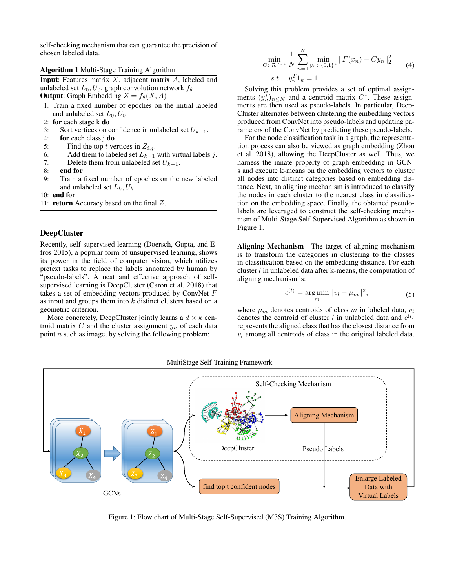self-checking mechanism that can guarantee the precision of chosen labeled data.

## Algorithm 1 Multi-Stage Training Algorithm

**Input:** Features matrix  $X$ , adjacent matrix  $A$ , labeled and unlabeled set  $L_0$ ,  $U_0$ , graph convolution network  $f_\theta$ **Output:** Graph Embedding  $Z = f_{\theta}(X, A)$ 

- 1: Train a fixed number of epoches on the initial labeled and unlabeled set  $L_0$ ,  $U_0$
- 2: for each stage k do
- 3: Sort vertices on confidence in unlabeled set  $U_{k-1}$ .<br>4: **for** each class **i do**
- for each class j do
- 5: Find the top t vertices in  $Z_{i,j}$ .
- 6: Add them to labeled set  $L_{k-1}$  with virtual labels j.<br>7: Delete them from unlabeled set  $U_{k-1}$ .
- 7: Delete them from unlabeled set  $U_{k-1}$ .<br>8: **end for**
- end for
- 9: Train a fixed number of epoches on the new labeled and unlabeled set  $L_k, U_k$

10: end for

11: return Accuracy based on the final Z.

## DeepCluster

Recently, self-supervised learning (Doersch, Gupta, and Efros 2015), a popular form of unsupervised learning, shows its power in the field of computer vision, which utilizes pretext tasks to replace the labels annotated by human by "pseudo-labels". A neat and effective approach of selfsupervised learning is DeepCluster (Caron et al. 2018) that takes a set of embedding vectors produced by ConvNet F as input and groups them into  $k$  distinct clusters based on a geometric criterion.

More concretely, DeepCluster jointly learns a  $d \times k$  centroid matrix  $C$  and the cluster assignment  $y_n$  of each data point  $n$  such as image, by solving the following problem:

$$
\min_{C \in \mathcal{R}^{d \times k}} \frac{1}{N} \sum_{n=1}^{N} \min_{y_n \in \{0,1\}^k} \|F(x_n) - Cy_n\|_2^2
$$
\n
$$
s.t. \quad y_n^T 1_k = 1
$$
\n(4)

Solving this problem provides a set of optimal assignments  $(y_n^*)_{n \leq N}$  and a centroid matrix  $C^*$ . These assignments are then used as pseudo-labels. In particular, Deep-Cluster alternates between clustering the embedding vectors produced from ConvNet into pseudo-labels and updating parameters of the ConvNet by predicting these pseudo-labels.

For the node classification task in a graph, the representation process can also be viewed as graph embedding (Zhou et al. 2018), allowing the DeepCluster as well. Thus, we harness the innate property of graph embedding in GCNs and execute k-means on the embedding vectors to cluster all nodes into distinct categories based on embedding distance. Next, an aligning mechanism is introduced to classify the nodes in each cluster to the nearest class in classification on the embedding space. Finally, the obtained pseudolabels are leveraged to construct the self-checking mechanism of Multi-Stage Self-Supervised Algorithm as shown in Figure 1.

Aligning Mechanism The target of aligning mechanism is to transform the categories in clustering to the classes in classification based on the embedding distance. For each cluster l in unlabeled data after k-means, the computation of aligning mechanism is:

$$
c^{(l)} = \underset{m}{\arg\min} \|v_l - \mu_m\|^2, \tag{5}
$$

where  $\mu_m$  denotes centroids of class m in labeled data,  $v_l$ denotes the centroid of cluster l in unlabeled data and  $c^{(l)}$ represents the aligned class that has the closest distance from  $v_l$  among all centroids of class in the original labeled data.



MultiStage Self-Training Framework

Figure 1: Flow chart of Multi-Stage Self-Supervised (M3S) Training Algorithm.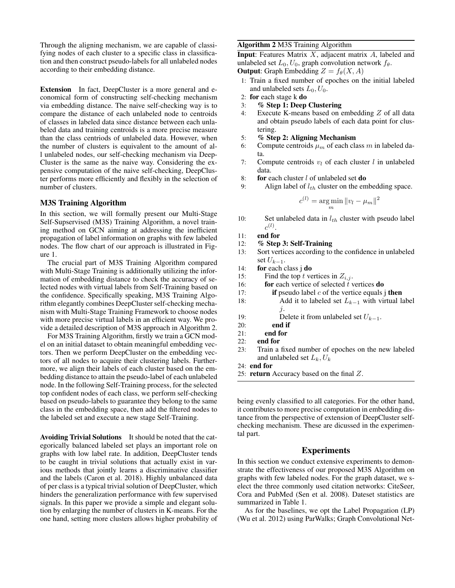Through the aligning mechanism, we are capable of classifying nodes of each cluster to a specific class in classification and then construct pseudo-labels for all unlabeled nodes according to their embedding distance.

Extension In fact, DeepCluster is a more general and economical form of constructing self-checking mechanism via embedding distance. The naive self-checking way is to compare the distance of each unlabeled node to centroids of classes in labeled data since distance between each unlabeled data and training centroids is a more precise measure than the class centriods of unlabeled data. However, when the number of clusters is equivalent to the amount of all unlabeled nodes, our self-checking mechanism via Deep-Cluster is the same as the naive way. Considering the expensive computation of the naive self-checking, DeepCluster performs more efficiently and flexibly in the selection of number of clusters.

#### M3S Training Algorithm

In this section, we will formally present our Multi-Stage Self-Supservised (M3S) Training Algorithm, a novel training method on GCN aiming at addressing the inefficient propagation of label information on graphs with few labeled nodes. The flow chart of our approach is illustrated in Figure 1.

The crucial part of M3S Training Algorithm compared with Multi-Stage Training is additionally utilizing the information of embedding distance to check the accuracy of selected nodes with virtual labels from Self-Training based on the confidence. Specifically speaking, M3S Training Algorithm elegantly combines DeepCluster self-checking mechanism with Multi-Stage Training Framework to choose nodes with more precise virtual labels in an efficient way. We provide a detailed description of M3S approach in Algorithm 2.

For M3S Training Algorithm, firstly we train a GCN model on an initial dataset to obtain meaningful embedding vectors. Then we perform DeepCluster on the embedding vectors of all nodes to acquire their clustering labels. Furthermore, we align their labels of each cluster based on the embedding distance to attain the pseudo-label of each unlabeled node. In the following Self-Training process, for the selected top confident nodes of each class, we perform self-checking based on pseudo-labels to guarantee they belong to the same class in the embedding space, then add the filtered nodes to the labeled set and execute a new stage Self-Training.

Avoiding Trivial Solutions It should be noted that the categorically balanced labeled set plays an important role on graphs with low label rate. In addition, DeepCluster tends to be caught in trivial solutions that actually exist in various methods that jointly learns a discriminative classifier and the labels (Caron et al. 2018). Highly unbalanced data of per class is a typical trivial solution of DeepCluster, which hinders the generalization performance with few supervised signals. In this paper we provide a simple and elegant solution by enlarging the number of clusters in K-means. For the one hand, setting more clusters allows higher probability of

#### Algorithm 2 M3S Training Algorithm

**Input**: Features Matrix  $X$ , adjacent matrix  $A$ , labeled and unlabeled set  $L_0$ ,  $U_0$ , graph convolution network  $f_\theta$ . **Output:** Graph Embedding  $Z = f_{\theta}(X, A)$ 

- 1: Train a fixed number of epoches on the initial labeled and unlabeled sets  $L_0$ ,  $U_0$ .
- 2: for each stage k do
- 3: % Step 1: Deep Clustering
- 4: Execute K-means based on embedding Z of all data and obtain pseudo labels of each data point for clustering.
- 5: % Step 2: Aligning Mechanism
- 6: Compute centroids  $\mu_m$  of each class m in labeled data.
- 7: Compute centroids  $v_l$  of each cluster l in unlabeled data.
- 8: for each cluster  $l$  of unlabeled set **do**
- 9: Align label of  $l_{th}$  cluster on the embedding space.

$$
c^{(l)} = \underset{m}{\arg\min} \|v_l - \mu_m\|^2
$$

- 10: Set unlabeled data in  $l_{th}$  cluster with pseudo label  $c^{(l)}$ .
- 11: end for
- 12: % Step 3: Self-Training
- 13: Sort vertices according to the confidence in unlabeled set  $U_{k-1}$ .
- 14: for each class j do
- 15: Find the top t vertices in  $Z_{i,j}$ .
- 16: **for** each vertice of selected  $\tilde{t}$  vertices **do**
- 17: **if** pseudo label  $c$  of the vertice equals j **then**
- 18: Add it to labeled set  $L_{k-1}$  with virtual label j.
- 19: Delete it from unlabeled set  $U_{k-1}$ .
- 20: end if
- 21: end for
- 22: end for
- 23: Train a fixed number of epoches on the new labeled and unlabeled set  $L_k, U_k$
- 24: end for
- 25: return Accuracy based on the final Z.

being evenly classified to all categories. For the other hand, it contributes to more precise computation in embedding distance from the perspective of extension of DeepCluster selfchecking mechanism. These are dicussed in the experimental part.

### Experiments

In this section we conduct extensive experiments to demonstrate the effectiveness of our proposed M3S Algorithm on graphs with few labeled nodes. For the graph dataset, we select the three commonly used citation networks: CiteSeer, Cora and PubMed (Sen et al. 2008). Dateset statistics are summarized in Table 1.

As for the baselines, we opt the Label Propagation (LP) (Wu et al. 2012) using ParWalks; Graph Convolutional Net-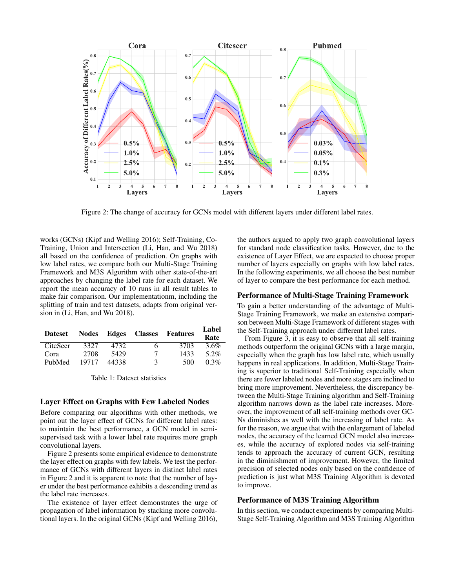

Figure 2: The change of accuracy for GCNs model with different layers under different label rates.

works (GCNs) (Kipf and Welling 2016); Self-Training, Co-Training, Union and Intersection (Li, Han, and Wu 2018) all based on the confidence of prediction. On graphs with low label rates, we compare both our Multi-Stage Training Framework and M3S Algorithm with other state-of-the-art approaches by changing the label rate for each dataset. We report the mean accuracy of 10 runs in all result tables to make fair comparison. Our implementationm, including the splitting of train and test datasets, adapts from original version in (Li, Han, and Wu 2018).

| <b>Dateset</b>  | <b>Nodes</b> | Edges | <b>Classes</b> | Features | Label<br>Rate |
|-----------------|--------------|-------|----------------|----------|---------------|
| <b>CiteSeer</b> | 3327         | 4732  | 6              | 3703     | 3.6%          |
| Cora            | 2708         | 5429  | 7              | 1433     | 5.2%          |
| PubMed          | 19717        | 44338 | 3              | 500      | 0.3%          |

Table 1: Dateset statistics

#### Layer Effect on Graphs with Few Labeled Nodes

Before comparing our algorithms with other methods, we point out the layer effect of GCNs for different label rates: to maintain the best performance, a GCN model in semisupervised task with a lower label rate requires more graph convolutional layers.

Figure 2 presents some empirical evidence to demonstrate the layer effect on graphs with few labels. We test the performance of GCNs with different layers in distinct label rates in Figure 2 and it is apparent to note that the number of layer under the best performance exhibits a descending trend as the label rate increases.

The existence of layer effect demonstrates the urge of propagation of label information by stacking more convolutional layers. In the original GCNs (Kipf and Welling 2016),

the authors argued to apply two graph convolutional layers for standard node classification tasks. However, due to the existence of Layer Effect, we are expected to choose proper number of layers especially on graphs with low label rates. In the following experiments, we all choose the best number of layer to compare the best performance for each method.

## Performance of Multi-Stage Training Framework

To gain a better understanding of the advantage of Multi-Stage Training Framework, we make an extensive comparison between Multi-Stage Framework of different stages with the Self-Training approach under different label rates.

From Figure 3, it is easy to observe that all self-training methods outperform the original GCNs with a large margin, especially when the graph has low label rate, which usually happens in real applications. In addition, Multi-Stage Training is superior to traditional Self-Training especially when there are fewer labeled nodes and more stages are inclined to bring more improvement. Nevertheless, the discrepancy between the Multi-Stage Training algorithm and Self-Training algorithm narrows down as the label rate increases. Moreover, the improvement of all self-training methods over GC-Ns diminishes as well with the increasing of label rate. As for the reason, we argue that with the enlargement of labeled nodes, the accuracy of the learned GCN model also increases, while the accuracy of explored nodes via self-training tends to approach the accuracy of current GCN, resulting in the diminishment of improvement. However, the limited precision of selected nodes only based on the confidence of prediction is just what M3S Training Algorithm is devoted to improve.

#### Performance of M3S Training Algorithm

In this section, we conduct experiments by comparing Multi-Stage Self-Training Algorithm and M3S Training Algorithm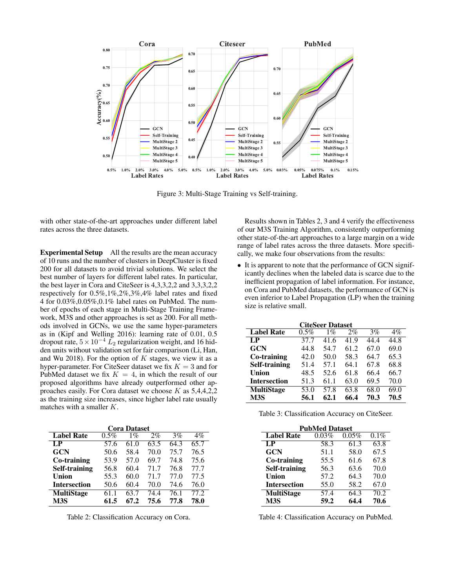

Figure 3: Multi-Stage Training vs Self-training.

with other state-of-the-art approaches under different label rates across the three datasets.

Experimental Setup All the results are the mean accuracy of 10 runs and the number of clusters in DeepCluster is fixed 200 for all datasets to avoid trivial solutions. We select the best number of layers for different label rates. In particular, the best layer in Cora and CiteSeer is 4,3,3,2,2 and 3,3,3,2,2 respectively for 0.5%,1%,2%,3%,4% label rates and fixed 4 for 0.03%,0.05%,0.1% label rates on PubMed. The number of epochs of each stage in Multi-Stage Training Framework, M3S and other approaches is set as 200. For all methods involved in GCNs, we use the same hyper-parameters as in (Kipf and Welling 2016): learning rate of 0.01, 0.5 dropout rate,  $5 \times 10^{-4} L_2$  regularization weight, and 16 hidden units without validation set for fair comparison (Li, Han, and Wu 2018). For the option of  $K$  stages, we view it as a hyper-parameter. For CiteSeer dataset we fix  $K = 3$  and for PubMed dataset we fix  $K = 4$ , in which the result of our proposed algorithms have already outperformed other approaches easily. For Cora dataset we choose  $K$  as  $5,4,4,2,2$ as the training size increases, since higher label rate usually matches with a smaller K.

| <b>Cora Dataset</b>  |         |       |       |      |       |
|----------------------|---------|-------|-------|------|-------|
| <b>Label Rate</b>    | $0.5\%$ | $1\%$ | $2\%$ | 3%   | $4\%$ |
| LP                   | 57.6    | 61.0  | 63.5  | 64.3 | 65.7  |
| <b>GCN</b>           | 50.6    | 58.4  | 70.0  | 75.7 | 76.5  |
| Co-training          | 53.9    | 57.0  | 69.7  | 74.8 | 75.6  |
| <b>Self-training</b> | 56.8    | 60.4  | 71.7  | 76.8 | 77.7  |
| Union                | 55.3    | 60.0  | 71.7  | 77.0 | 77.5  |
| <b>Intersection</b>  | 50.6    | 60.4  | 70.0  | 74.6 | 76.0  |
| <b>MultiStage</b>    | 61 1    | 63.7  | 74.4  | 76.1 | 77.2  |
| M <sub>3S</sub>      | 61.5    | 67.2  | 75.6  | 77.8 | 78.0  |

Table 2: Classification Accuracy on Cora.

Results shown in Tables 2, 3 and 4 verify the effectiveness of our M3S Training Algorithm, consistently outperforming other state-of-the-art approaches to a large margin on a wide range of label rates across the three datasets. More specifically, we make four observations from the results:

• It is apparent to note that the performance of GCN significantly declines when the labeled data is scarce due to the inefficient propagation of label information. For instance, on Cora and PubMed datasets, the performance of GCN is even inferior to Label Propagation (LP) when the training size is relative small.

| <b>CiteSeer Dataset</b> |      |       |       |      |       |
|-------------------------|------|-------|-------|------|-------|
| <b>Label Rate</b>       | 0.5% | $1\%$ | $2\%$ | 3%   | $4\%$ |
| $L_{\rm P}$             | 37.7 | 41.6  | 41.9  | 44.4 | 44.8  |
| <b>GCN</b>              | 44.8 | 54.7  | 61.2  | 67.0 | 69.0  |
| Co-training             | 42.0 | 50.0  | 58.3  | 64.7 | 65.3  |
| Self-training           | 51.4 | 57.1  | 64.1  | 67.8 | 68.8  |
| <b>Union</b>            | 48.5 | 52.6  | 61.8  | 66.4 | 66.7  |
| <b>Intersection</b>     | 51.3 | 61.1  | 63.0  | 69.5 | 70.0  |
| <b>MultiStage</b>       | 53.0 | 57.8  | 63.8  | 68.0 | 69.0  |
| M <sub>3</sub> S        | 56.1 | 62.1  | 66.4  | 70.3 | 70.5  |

| Table 3: Classification Accuracy on CiteSeer. |  |
|-----------------------------------------------|--|
|-----------------------------------------------|--|

| <b>PubMed Dataset</b> |       |       |      |  |
|-----------------------|-------|-------|------|--|
| <b>Label Rate</b>     | 0.03% | 0.05% | 0.1% |  |
| $L_{\rm P}$           | 58.3  | 61.3  | 63.8 |  |
| <b>GCN</b>            | 51.1  | 58.0  | 67.5 |  |
| Co-training           | 55.5  | 61.6  | 67.8 |  |
| <b>Self-training</b>  | 56.3  | 63.6  | 70.0 |  |
| Union                 | 57.2  | 64.3  | 70.0 |  |
| <b>Intersection</b>   | 55.0  | 58.2  | 67.0 |  |
| <b>MultiStage</b>     | 57.4  | 64.3  | 70.2 |  |
| M3S                   | 59.2  | 64.4  | 70.6 |  |

Table 4: Classification Accuracy on PubMed.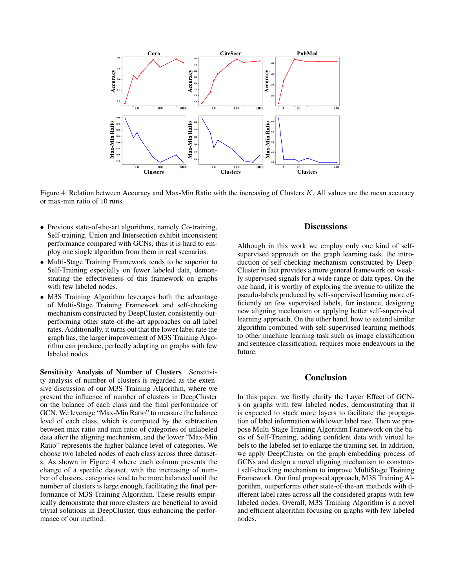

Figure 4: Relation between Accuracy and Max-Min Ratio with the increasing of Clusters K. All values are the mean accuracy or max-min ratio of 10 runs.

- Previous state-of-the-art algorithms, namely Co-training, Self-training, Union and Intersection exhibit inconsistent performance compared with GCNs, thus it is hard to employ one single algorithm from them in real scenarios.
- Multi-Stage Training Framework tends to be superior to Self-Training especially on fewer labeled data, demonstrating the effectiveness of this framework on graphs with few labeled nodes.
- M3S Training Algorithm leverages both the advantage of Multi-Stage Training Framework and self-checking mechanism constructed by DeepCluster, consistently outperforming other state-of-the-art approaches on all label rates. Additionally, it turns out that the lower label rate the graph has, the larger improvement of M3S Training Algorithm can produce, perfectly adapting on graphs with few labeled nodes.

Sensitivity Analysis of Number of Clusters Sensitivity analysis of number of clusters is regarded as the extensive discussion of our M3S Training Algorithm, where we present the influence of number of clusters in DeepCluster on the balance of each class and the final performance of GCN. We leverage "Max-Min Ratio" to measure the balance level of each class, which is computed by the subtraction between max ratio and min ratio of categories of unlabeled data after the aligning mechanism, and the lower "Max-Min Ratio" represents the higher balance level of categories. We choose two labeled nodes of each class across three datasets. As shown in Figure 4 where each column presents the change of a specific dataset, with the increasing of number of clusters, categories tend to be more balanced until the number of clusters is large enough, facilitating the final performance of M3S Training Algorithm. These results empirically demonstrate that more clusters are beneficial to avoid trivial solutions in DeepCluster, thus enhancing the performance of our method.

# **Discussions**

Although in this work we employ only one kind of selfsupervised approach on the graph learning task, the introduction of self-checking mechanism constructed by Deep-Cluster in fact provides a more general framework on weakly supervised signals for a wide range of data types. On the one hand, it is worthy of exploring the avenue to utilize the pseudo-labels produced by self-supervised learning more efficiently on few supervised labels, for instance, designing new aligning mechanism or applying better self-supervised learning approach. On the other hand, how to extend similar algorithm combined with self-supervised learning methods to other machine learning task such as image classification and sentence classification, requires more endeavours in the future.

# Conclusion

In this paper, we firstly clarify the Layer Effect of GCNs on graphs with few labeled nodes, demonstrating that it is expected to stack more layers to facilitate the propagation of label information with lower label rate. Then we propose Multi-Stage Training Algorithm Framework on the basis of Self-Training, adding confident data with virtual labels to the labeled set to enlarge the training set. In addition, we apply DeepCluster on the graph embedding process of GCNs and design a novel aligning mechanism to construct self-checking mechanism to improve MultiStage Training Framework. Our final proposed approach, M3S Training Algorithm, outperforms other state-of-the-art methods with different label rates across all the considered graphs with few labeled nodes. Overall, M3S Training Algorithm is a novel and efficient algorithm focusing on graphs with few labeled nodes.